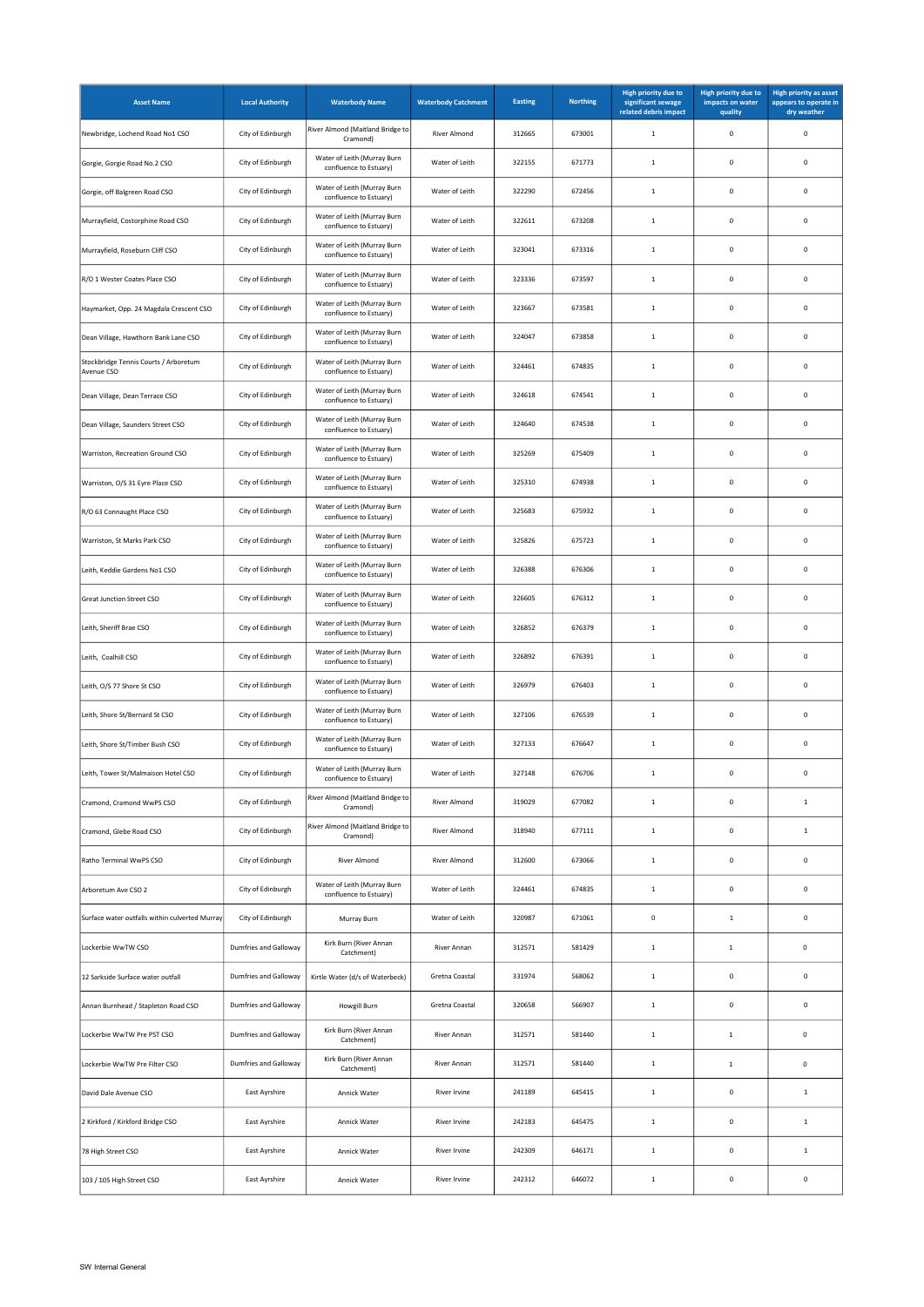| <b>Asset Name</b>                                   | <b>Local Authority</b>       | <b>Waterbody Name</b>                                 | <b>Waterbody Catchment</b> | Easting | <b>Northing</b> | High priority due to<br>significant sewage<br>related debris impact | High priority due to<br>impacts on water<br>quality | <b>High priority as asset</b><br>appears to operate in<br>dry weather |
|-----------------------------------------------------|------------------------------|-------------------------------------------------------|----------------------------|---------|-----------------|---------------------------------------------------------------------|-----------------------------------------------------|-----------------------------------------------------------------------|
| Newbridge, Lochend Road No1 CSO                     | City of Edinburgh            | River Almond (Maitland Bridge to<br>Cramond)          | River Almond               | 312665  | 673001          | $\mathbf{1}$                                                        | 0                                                   | $\pmb{0}$                                                             |
| Gorgie, Gorgie Road No.2 CSO                        | City of Edinburgh            | Water of Leith (Murray Burn<br>confluence to Estuary) | Water of Leith             | 322155  | 671773          | 1                                                                   | $\mathsf 0$                                         | $\mathbf 0$                                                           |
| Gorgie, off Balgreen Road CSO                       | City of Edinburgh            | Water of Leith (Murray Burn<br>confluence to Estuary) | Water of Leith             | 322290  | 672456          | $\mathbf{1}$                                                        | 0                                                   | $\mathbf 0$                                                           |
| Murrayfield, Costorphine Road CSO                   | City of Edinburgh            | Water of Leith (Murray Burn<br>confluence to Estuary) | Water of Leith             | 322611  | 673208          | $\mathbf{1}$                                                        | 0                                                   | $\mathbf 0$                                                           |
| Murrayfield, Roseburn Cliff CSO                     | City of Edinburgh            | Water of Leith (Murray Burn<br>confluence to Estuary) | Water of Leith             | 323041  | 673316          | $\mathbf{1}$                                                        | $\mathbf 0$                                         | $\mathbf 0$                                                           |
| R/O 1 Wester Coates Place CSO                       | City of Edinburgh            | Water of Leith (Murray Burn<br>confluence to Estuary) | Water of Leith             | 323336  | 673597          | $\mathbf{1}$                                                        | 0                                                   | $\mathbf 0$                                                           |
| Haymarket, Opp. 24 Magdala Crescent CSO             | City of Edinburgh            | Water of Leith (Murray Burn<br>confluence to Estuary) | Water of Leith             | 323667  | 673581          | $\mathbf{1}$                                                        | 0                                                   | $\pmb{0}$                                                             |
| Dean Village, Hawthorn Bank Lane CSO                | City of Edinburgh            | Water of Leith (Murray Burn<br>confluence to Estuary) | Water of Leith             | 324047  | 673858          | $\mathbf{1}$                                                        | 0                                                   | $\pmb{0}$                                                             |
| Stockbridge Tennis Courts / Arboretum<br>Avenue CSO | City of Edinburgh            | Water of Leith (Murray Burn<br>confluence to Estuary) | Water of Leith             | 324461  | 674835          | $\mathbf{1}$                                                        | 0                                                   | $\pmb{0}$                                                             |
| Dean Village, Dean Terrace CSO                      | City of Edinburgh            | Water of Leith (Murray Burn<br>confluence to Estuary) | Water of Leith             | 324618  | 674541          | $\mathbf{1}$                                                        | $\mathsf 0$                                         | $\pmb{0}$                                                             |
| Dean Village, Saunders Street CSO                   | City of Edinburgh            | Water of Leith (Murray Burn<br>confluence to Estuary) | Water of Leith             | 324640  | 674538          | $\mathbf{1}$                                                        | $\mathsf 0$                                         | $\pmb{0}$                                                             |
| Warriston, Recreation Ground CSO                    | City of Edinburgh            | Water of Leith (Murray Burn<br>confluence to Estuary) | Water of Leith             | 325269  | 675409          | $\mathbf 1$                                                         | $\mathsf 0$                                         | $\pmb{0}$                                                             |
| Warriston, O/S 31 Eyre Place CSO                    | City of Edinburgh            | Water of Leith (Murray Burn<br>confluence to Estuary) | Water of Leith             | 325310  | 674938          | $\mathbf{1}$                                                        | $\mathbf 0$                                         | $\pmb{0}$                                                             |
| R/O 63 Connaught Place CSO                          | City of Edinburgh            | Water of Leith (Murray Burn<br>confluence to Estuary) | Water of Leith             | 325683  | 675932          | $\mathbf 1$                                                         | 0                                                   | $\mathbf 0$                                                           |
| Warriston, St Marks Park CSO                        | City of Edinburgh            | Water of Leith (Murray Burn<br>confluence to Estuary) | Water of Leith             | 325826  | 675723          | $\mathbf{1}$                                                        | $\mathbf 0$                                         | $\pmb{0}$                                                             |
| Leith, Keddie Gardens No1 CSO                       | City of Edinburgh            | Water of Leith (Murray Burn<br>confluence to Estuary) | Water of Leith             | 326388  | 676306          | $\mathbf 1$                                                         | $\mathsf 0$                                         | $\pmb{0}$                                                             |
| Great Junction Street CSO                           | City of Edinburgh            | Water of Leith (Murray Burn<br>confluence to Estuary) | Water of Leith             | 326605  | 676312          | $\mathbf{1}$                                                        | $\mathbf 0$                                         | $\pmb{0}$                                                             |
| Leith, Sheriff Brae CSO                             | City of Edinburgh            | Water of Leith (Murray Burn<br>confluence to Estuary) | Water of Leith             | 326852  | 676379          | $\mathbf{1}$                                                        | $\mathsf 0$                                         | $\pmb{0}$                                                             |
| Leith, Coalhill CSO                                 | City of Edinburgh            | Water of Leith (Murray Burn<br>confluence to Estuary) | Water of Leith             | 326892  | 676391          | $\mathbf{1}$                                                        | $\mathsf 0$                                         | $\pmb{0}$                                                             |
| Leith, O/S 77 Shore St CSO                          | City of Edinburgh            | Water of Leith (Murray Burn<br>confluence to Estuary) | Water of Leith             | 326979  | 676403          | $\mathbf 1$                                                         | 0                                                   | $\pmb{0}$                                                             |
| Leith, Shore St/Bernard St CSO                      | City of Edinburgh            | Water of Leith (Murray Burn<br>confluence to Estuary) | Water of Leith             | 327106  | 676539          | $\mathbf{1}$                                                        | $\mathsf 0$                                         | $\pmb{0}$                                                             |
| Leith, Shore St/Timber Bush CSO                     | City of Edinburgh            | Water of Leith (Murray Burn<br>confluence to Estuary) | Water of Leith             | 327133  | 676647          | $\mathbf 1$                                                         | $\mathbf 0$                                         | $\mathbf 0$                                                           |
| Leith, Tower St/Malmaison Hotel CSO                 | City of Edinburgh            | Water of Leith (Murray Burn<br>confluence to Estuary) | Water of Leith             | 327148  | 676706          | $\mathbf{1}$                                                        | 0                                                   | $\pmb{0}$                                                             |
| Cramond, Cramond WwPS CSO                           | City of Edinburgh            | River Almond (Maitland Bridge to<br>Cramond)          | River Almond               | 319029  | 677082          | $\mathbf 1$                                                         | $\mathsf 0$                                         | $\,$ 1                                                                |
| Cramond, Glebe Road CSO                             | City of Edinburgh            | River Almond (Maitland Bridge to<br>Cramond)          | River Almond               | 318940  | 677111          | $\mathbf 1$                                                         | $\mathsf 0$                                         | $\,$ 1                                                                |
| Ratho Terminal WwPS CSO                             | City of Edinburgh            | River Almond                                          | River Almond               | 312600  | 673066          | $\mathbf 1$                                                         | $\mathsf 0$                                         | $\mathbf 0$                                                           |
| Arboretum Ave CSO 2                                 | City of Edinburgh            | Water of Leith (Murray Burn<br>confluence to Estuary) | Water of Leith             | 324461  | 674835          | $\mathbf{1}$                                                        | $\mathsf{o}\,$                                      | $\pmb{0}$                                                             |
| Surface water outfalls within culverted Murray      | City of Edinburgh            | Murray Burn                                           | Water of Leith             | 320987  | 671061          | $\mathbf 0$                                                         | $\mathbf 1$                                         | $\pmb{0}$                                                             |
| Lockerbie WwTW CSO                                  | <b>Dumfries and Galloway</b> | Kirk Burn (River Annan<br>Catchment)                  | River Annan                | 312571  | 581429          | $\mathbf{1}$                                                        | $\mathbf{1}$                                        | $\pmb{0}$                                                             |
| 12 Sarkside Surface water outfall                   | <b>Dumfries and Galloway</b> | Kirtle Water (d/s of Waterbeck)                       | Gretna Coastal             | 331974  | 568062          | $\mathbf 1$                                                         | $\mathbf 0$                                         | $\pmb{0}$                                                             |
| Annan Burnhead / Stapleton Road CSO                 | <b>Dumfries and Galloway</b> | Howgill Burn                                          | Gretna Coastal             | 320658  | 566907          | $\mathbf{1}$                                                        | 0                                                   | $\pmb{0}$                                                             |
| Lockerbie WwTW Pre PST CSO                          | <b>Dumfries and Galloway</b> | Kirk Burn (River Annan<br>Catchment)                  | River Annan                | 312571  | 581440          | $1\,$                                                               | $\mathbf 1$                                         | 0                                                                     |
| Lockerbie WwTW Pre Filter CSO                       | <b>Dumfries and Galloway</b> | Kirk Burn (River Annan<br>Catchment)                  | River Annan                | 312571  | 581440          | $1\,$                                                               | $\mathbf{1}$                                        | $\pmb{0}$                                                             |
| David Dale Avenue CSO                               | East Ayrshire                | Annick Water                                          | River Irvine               | 241189  | 645415          | $1\,$                                                               | $\mathbf 0$                                         | $\,$ 1                                                                |
| 2 Kirkford / Kirkford Bridge CSO                    | East Ayrshire                | Annick Water                                          | <b>River Irvine</b>        | 242183  | 645475          | $\mathbf{1}$                                                        | $\mathbf 0$                                         | $\,$ 1                                                                |
| 78 High Street CSO                                  | East Ayrshire                | Annick Water                                          | <b>River Irvine</b>        | 242309  | 646171          | $1\,$                                                               | $\mathbf 0$                                         | $\,$ 1                                                                |
| 103 / 105 High Street CSO                           | East Ayrshire                | Annick Water                                          | <b>River Irvine</b>        | 242312  | 646072          | $\mathbf 1$                                                         | $\mathbf 0$                                         | $\pmb{0}$                                                             |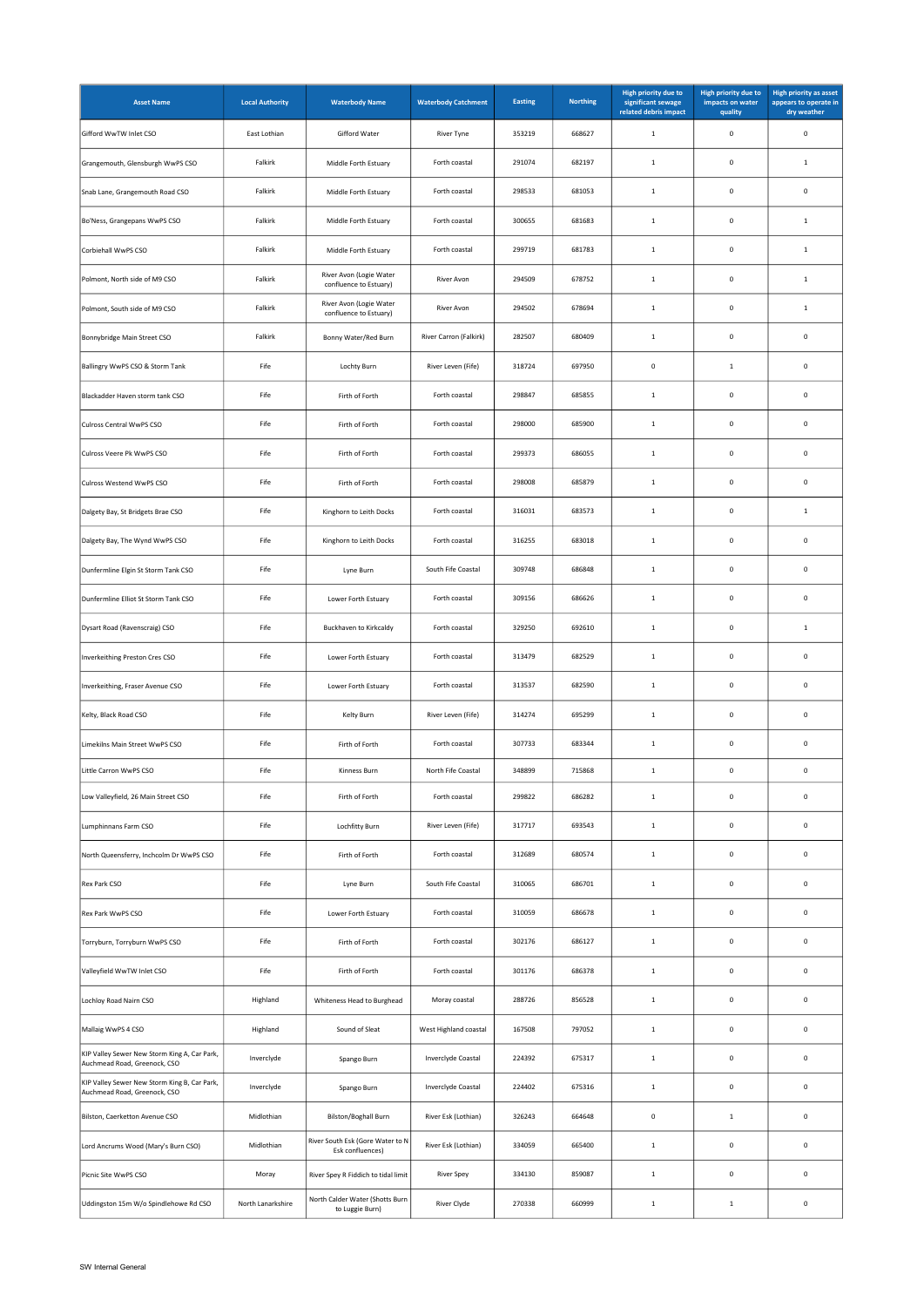| <b>Asset Name</b>                                                            | <b>Local Authority</b> | <b>Waterbody Name</b>                                | <b>Waterbody Catchment</b> | <b>Easting</b> | <b>Northing</b> | High priority due to<br>significant sewage<br>related debris impact | <b>High priority due to</b><br>impacts on water<br>quality | <b>High priority as asset</b><br>appears to operate in<br>dry weather |
|------------------------------------------------------------------------------|------------------------|------------------------------------------------------|----------------------------|----------------|-----------------|---------------------------------------------------------------------|------------------------------------------------------------|-----------------------------------------------------------------------|
| Gifford WwTW Inlet CSO                                                       | East Lothian           | Gifford Water                                        | River Tyne                 | 353219         | 668627          | $\mathbf 1$                                                         | $\mathbf 0$                                                | $\mathbf 0$                                                           |
| Grangemouth, Glensburgh WwPS CSO                                             | Falkirk                | Middle Forth Estuary                                 | Forth coastal              | 291074         | 682197          | $\mathbf 1$                                                         | $\mathsf 0$                                                | $\mathbf{1}$                                                          |
| Snab Lane, Grangemouth Road CSO                                              | Falkirk                | Middle Forth Estuary                                 | Forth coastal              | 298533         | 681053          | $\mathbf{1}$                                                        | $\mathbf 0$                                                | $\mathbf 0$                                                           |
| Bo'Ness, Grangepans WwPS CSO                                                 | Falkirk                | Middle Forth Estuary                                 | Forth coastal              | 300655         | 681683          | $1\,$                                                               | $\mathsf 0$                                                | $1\,$                                                                 |
| Corbiehall WwPS CSO                                                          | Falkirk                | Middle Forth Estuary                                 | Forth coastal              | 299719         | 681783          | $\mathbf 1$                                                         | $\mathbf 0$                                                | $\,$ 1                                                                |
| Polmont, North side of M9 CSO                                                | Falkirk                | River Avon (Logie Water<br>confluence to Estuary)    | River Avon                 | 294509         | 678752          | $\mathbf 1$                                                         | $\mathsf 0$                                                | $\mathbf 1$                                                           |
| Polmont, South side of M9 CSO                                                | Falkirk                | River Avon (Logie Water<br>confluence to Estuary)    | River Avon                 | 294502         | 678694          | $\mathbf{1}$                                                        | $\mathbf 0$                                                | $\,$ 1                                                                |
| Bonnybridge Main Street CSO                                                  | Falkirk                | Bonny Water/Red Burn                                 | River Carron (Falkirk)     | 282507         | 680409          | $\,$ 1                                                              | $\mathsf 0$                                                | $\mathbf 0$                                                           |
| Ballingry WwPS CSO & Storm Tank                                              | Fife                   | Lochty Burn                                          | River Leven (Fife)         | 318724         | 697950          | $\mathbf 0$                                                         | $\mathbf{1}$                                               | $\mathbf 0$                                                           |
| Blackadder Haven storm tank CSO                                              | Fife                   | Firth of Forth                                       | Forth coastal              | 298847         | 685855          | $1\,$                                                               | $\mathbf 0$                                                | $\mathbf 0$                                                           |
| Culross Central WwPS CSO                                                     | Fife                   | Firth of Forth                                       | Forth coastal              | 298000         | 685900          | $\mathbf 1$                                                         | $\mathbf 0$                                                | $\mathbf 0$                                                           |
| Culross Veere Pk WwPS CSO                                                    | Fife                   | Firth of Forth                                       | Forth coastal              | 299373         | 686055          | $1\,$                                                               | $\mathbf 0$                                                | $\mathbf 0$                                                           |
| Culross Westend WwPS CSO                                                     | Fife                   | Firth of Forth                                       | Forth coastal              | 298008         | 685879          | $\mathbf 1$                                                         | $\mathbf 0$                                                | $\mathbf 0$                                                           |
| Dalgety Bay, St Bridgets Brae CSO                                            | Fife                   | Kinghorn to Leith Docks                              | Forth coastal              | 316031         | 683573          | $\,$ 1                                                              | $\mathbf 0$                                                | $\,$ 1                                                                |
| Dalgety Bay, The Wynd WwPS CSO                                               | Fife                   | Kinghorn to Leith Docks                              | Forth coastal              | 316255         | 683018          | $\mathbf 1$                                                         | $\mathbf 0$                                                | $\mathbf 0$                                                           |
| Dunfermline Elgin St Storm Tank CSO                                          | Fife                   | Lyne Burn                                            | South Fife Coastal         | 309748         | 686848          | $\,$ 1                                                              | $\mathbf 0$                                                | $\mathbf 0$                                                           |
| Dunfermline Elliot St Storm Tank CSO                                         | Fife                   | Lower Forth Estuary                                  | Forth coastal              | 309156         | 686626          | $\mathbf 1$                                                         | $\mathbf 0$                                                | $\mathbf 0$                                                           |
| Dysart Road (Ravenscraig) CSO                                                | Fife                   | Buckhaven to Kirkcaldy                               | Forth coastal              | 329250         | 692610          | $\mathbf 1$                                                         | $\mathbf 0$                                                | $\,$ 1                                                                |
| Inverkeithing Preston Cres CSO                                               | Fife                   | Lower Forth Estuary                                  | Forth coastal              | 313479         | 682529          | $\mathbf 1$                                                         | $\mathbf 0$                                                | $\mathbf 0$                                                           |
| Inverkeithing, Fraser Avenue CSO                                             | Fife                   | Lower Forth Estuary                                  | Forth coastal              | 313537         | 682590          | $1\,$                                                               | $\mathbf 0$                                                | $\mathbf 0$                                                           |
| Kelty, Black Road CSO                                                        | Fife                   | Kelty Burn                                           | River Leven (Fife)         | 314274         | 695299          | $\mathbf 1$                                                         | $\mathbf 0$                                                | $\mathbf 0$                                                           |
| Limekilns Main Street WwPS CSO                                               | Fife                   | Firth of Forth                                       | Forth coastal              | 307733         | 683344          | $\,$ 1                                                              | $\mathbf 0$                                                | $\mathbf 0$                                                           |
| Little Carron WwPS CSO                                                       | Fife                   | Kinness Burn                                         | North Fife Coastal         | 348899         | 715868          | $\mathbf 1$                                                         | $\mathsf 0$                                                | $\mathbf 0$                                                           |
| Low Valleyfield, 26 Main Street CSO                                          | Fife                   | Firth of Forth                                       | Forth coastal              | 299822         | 686282          | $\mathbf 1$                                                         | $\mathbf 0$                                                | $\mathbf 0$                                                           |
| Lumphinnans Farm CSO                                                         | Fife                   | Lochfitty Burn                                       | River Leven (Fife)         | 317717         | 693543          | $1\,$                                                               | $\mathbf 0$                                                | $\mathbf 0$                                                           |
| North Queensferry, Inchcolm Dr WwPS CSO                                      | Fife                   | Firth of Forth                                       | Forth coastal              | 312689         | 680574          | $\,$ 1                                                              | $\mathbf 0$                                                | $\mathbf 0$                                                           |
| Rex Park CSO                                                                 | Fife                   | Lyne Burn                                            | South Fife Coastal         | 310065         | 686701          | $1\,$                                                               | $\mathbf 0$                                                | $\mathbf 0$                                                           |
| Rex Park WwPS CSO                                                            | Fife                   | Lower Forth Estuary                                  | Forth coastal              | 310059         | 686678          | $\,$ 1 $\,$                                                         | $\mathsf 0$                                                | $\mathbf 0$                                                           |
| Torryburn, Torryburn WwPS CSO                                                | Fife                   | Firth of Forth                                       | Forth coastal              | 302176         | 686127          | $1\,$                                                               | $\mathbf 0$                                                | $\mathbf 0$                                                           |
| Valleyfield WwTW Inlet CSO                                                   | Fife                   | Firth of Forth                                       | Forth coastal              | 301176         | 686378          | $\mathbf 1$                                                         | $\mathbf 0$                                                | $\mathbf 0$                                                           |
| Lochloy Road Nairn CSO                                                       | Highland               | Whiteness Head to Burghead                           | Moray coastal              | 288726         | 856528          | $\mathbf 1$                                                         | $\mathbf 0$                                                | $\mathbf 0$                                                           |
| Mallaig WwPS 4 CSO                                                           | Highland               | Sound of Sleat                                       | West Highland coastal      | 167508         | 797052          | $\mathbf 1$                                                         | $\mathbf 0$                                                | $\mathbf 0$                                                           |
| KIP Valley Sewer New Storm King A, Car Park,<br>Auchmead Road, Greenock, CSO | Inverclyde             | Spango Burn                                          | Inverclyde Coastal         | 224392         | 675317          | $\,$ 1                                                              | $\mathbf 0$                                                | $\mathbf 0$                                                           |
| KIP Valley Sewer New Storm King B, Car Park,<br>Auchmead Road, Greenock, CSO | Inverclyde             | Spango Burn                                          | Inverclyde Coastal         | 224402         | 675316          | $\,$ 1                                                              | $\mathbf 0$                                                | $\mathbf 0$                                                           |
| Bilston, Caerketton Avenue CSO                                               | Midlothian             | Bilston/Boghall Burn                                 | River Esk (Lothian)        | 326243         | 664648          | $\mathbf 0$                                                         | $1\,$                                                      | $\mathbf 0$                                                           |
| Lord Ancrums Wood (Mary's Burn CSO)                                          | Midlothian             | River South Esk (Gore Water to N<br>Esk confluences) | River Esk (Lothian)        | 334059         | 665400          | $\,$ 1 $\,$                                                         | $\mathbf 0$                                                | $\mathbf 0$                                                           |
| Picnic Site WwPS CSO                                                         | Moray                  | River Spey R Fiddich to tidal limit                  | <b>River Spey</b>          | 334130         | 859087          | $\mathbf 1$                                                         | $\mathbf 0$                                                | $\mathbf 0$                                                           |
| Uddingston 15m W/o Spindlehowe Rd CSO                                        | North Lanarkshire      | North Calder Water (Shotts Burn<br>to Luggie Burn)   | <b>River Clyde</b>         | 270338         | 660999          | $\,$ 1                                                              | $1\,$                                                      | $\mathbf 0$                                                           |